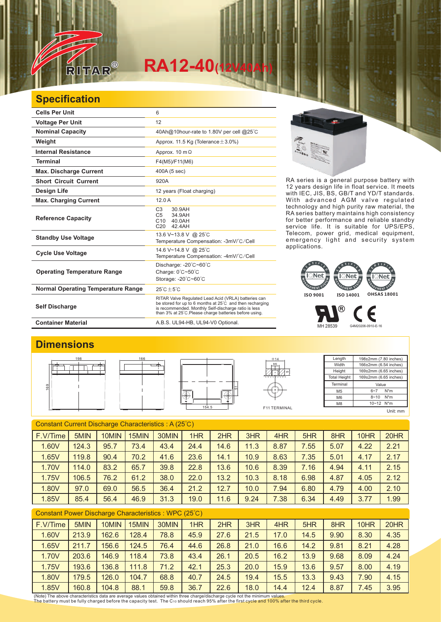

# $RA12-40$ <sup></sup>

### **Specification**

| <b>Cells Per Unit</b>                     | 6                                                                                                                                                                                                                                  |
|-------------------------------------------|------------------------------------------------------------------------------------------------------------------------------------------------------------------------------------------------------------------------------------|
| <b>Voltage Per Unit</b>                   | 12                                                                                                                                                                                                                                 |
| <b>Nominal Capacity</b>                   | 40Ah@10hour-rate to 1.80V per cell @25°C                                                                                                                                                                                           |
| Weight                                    | Approx. 11.5 Kg (Tolerance $\pm$ 3.0%)                                                                                                                                                                                             |
| <b>Internal Resistance</b>                | Approx. $10 \text{ m}\Omega$                                                                                                                                                                                                       |
| Terminal                                  | F4(M5)/F11(M6)                                                                                                                                                                                                                     |
| <b>Max. Discharge Current</b>             | 400A (5 sec)                                                                                                                                                                                                                       |
| <b>Short Circuit Current</b>              | 920A                                                                                                                                                                                                                               |
| Design Life                               | 12 years (Float charging)                                                                                                                                                                                                          |
| <b>Max. Charging Current</b>              | 12.0A                                                                                                                                                                                                                              |
| <b>Reference Capacity</b>                 | C <sub>3</sub><br>30.9AH<br>C <sub>5</sub><br>34.9AH<br>C10 40.0AH<br>C <sub>20</sub><br>42.4AH                                                                                                                                    |
| <b>Standby Use Voltage</b>                | 13.6 V~13.8 V @ 25°C<br>Temperature Compensation: -3mV/°C/Cell                                                                                                                                                                     |
| <b>Cycle Use Voltage</b>                  | 14.6 V~14.8 V @ 25°C<br>Temperature Compensation: -4mV/°C/Cell                                                                                                                                                                     |
| <b>Operating Temperature Range</b>        | Discharge: -20°C~60°C<br>Charge: 0°C~50°C<br>Storage: -20°C~60°C                                                                                                                                                                   |
| <b>Normal Operating Temperature Range</b> | $25^{\circ}$ C + $5^{\circ}$ C                                                                                                                                                                                                     |
| <b>Self Discharge</b>                     | RITAR Valve Regulated Lead Acid (VRLA) batteries can<br>be stored for up to 6 months at 25°C and then recharging<br>is recommended. Monthly Self-discharge ratio is less<br>than 3% at 25°C. Please charge batteries before using. |
| <b>Container Material</b>                 | A.B.S. UL94-HB, UL94-V0 Optional.                                                                                                                                                                                                  |



RA series is a general purpose battery with 12 years design life in float service. It meets with IEC, JIS, BS, GB/T and YD/T standards. With advanced AGM valve regulated technology and high purity raw material, the RA series battery maintains high consistency for better performance and reliable standby service life. It is suitable for UPS/EPS, Telecom, power grid, medical equipment, emergency light and security system applications.



MH 28539 G4M20206-0910-E-16

#### **Dimensions**







Length Width Height Total Height 198±2mm (7.80 inches) 166±2mm (6.54 inches) 169±2mm (6.65 inches) 169±2mm (6.65 inches) Terminal M5 M6 M8 Value 6~7 N\*m 8~10 N\*m  $10~-12$  N<sup>\*</sup>m

Є

Unit: mm

| Constant Current Discharge Characteristics: A (25°C) |       |       |       |       |      |      |      |      |      |      |      |      |
|------------------------------------------------------|-------|-------|-------|-------|------|------|------|------|------|------|------|------|
| F.V/Time                                             | 5MIN  | 10MIN | 15MIN | 30MIN | 1HR  | 2HR  | 3HR  | 4HR  | 5HR  | 8HR  | 10HR | 20HR |
| 1.60V                                                | 124.3 | 95.7  | 73.4  | 43.4  | 24.4 | 14.6 | 11.3 | 8.87 | 7.55 | 5.07 | 4.22 | 2.21 |
| 1.65V                                                | 119.8 | 90.4  | 70.2  | 41.6  | 23.6 | 14.1 | 10.9 | 8.63 | 7.35 | 5.01 | 4.17 | 2.17 |
| 1.70V                                                | 114.0 | 83.2  | 65.7  | 39.8  | 22.8 | 13.6 | 10.6 | 8.39 | 7.16 | 4.94 | 4.11 | 2.15 |
| 1.75V                                                | 106.5 | 76.2  | 61.2  | 38.0  | 22.0 | 13.2 | 10.3 | 8.18 | 6.98 | 4.87 | 4.05 | 2.12 |
| 1.80V                                                | 97.0  | 69.0  | 56.5  | 36.4  | 21.2 | 12.7 | 10.0 | 7.94 | 6.80 | 4.79 | 4.00 | 2.10 |
| 1.85V                                                | 85.4  | 56.4  | 46.9  | 31.3  | 19.0 | 11.6 | 9.24 | 7.38 | 6.34 | 4.49 | 3.77 | 1.99 |

#### Constant Power Discharge Characteristics : WPC (25℃)

| F.V/Time | 5MIN  | 10MIN | 15MIN | 30MIN | 1HR  | 2HR  | 3HR  | 4HR  | 5HR  | 8HR  | 10HR | 20HR |
|----------|-------|-------|-------|-------|------|------|------|------|------|------|------|------|
| 1.60V    | 213.9 | 162.6 | 128.4 | 78.8  | 45.9 | 27.6 | 21.5 | 17.0 | 14.5 | 9.90 | 8.30 | 4.35 |
| 1.65V    | 211.7 | 156.6 | 124.5 | 76.4  | 44.6 | 26.8 | 21.0 | 16.6 | 14.2 | 9.81 | 8.21 | 4.28 |
| 1.70V    | 203.6 | 146.9 | 118.4 | 73.8  | 43.4 | 26.1 | 20.5 | 16.2 | 13.9 | 9.68 | 8.09 | 4.24 |
| 1.75V    | 193.6 | 136.8 | 111.8 | 71.2  | 42.1 | 25.3 | 20.0 | 15.9 | 13.6 | 9.57 | 8.00 | 4.19 |
| 1.80V    | 79.5  | 126.0 | 104.7 | 68.8  | 40.7 | 24.5 | 19.4 | 15.5 | 13.3 | 9.43 | 7.90 | 4.15 |
| 1.85V    | 160.8 | 104.8 | 88.1  | 59.8  | 36.7 | 22.6 | 18.0 | 14.4 | 12.4 | 8.87 | 7.45 | 3.95 |

(Note) The above characteristics data are average values obtained within three charge/discharge cycle not the minimum values.<br>The battery must be fully charged before the capacity test. The C10 should reach 95% after the